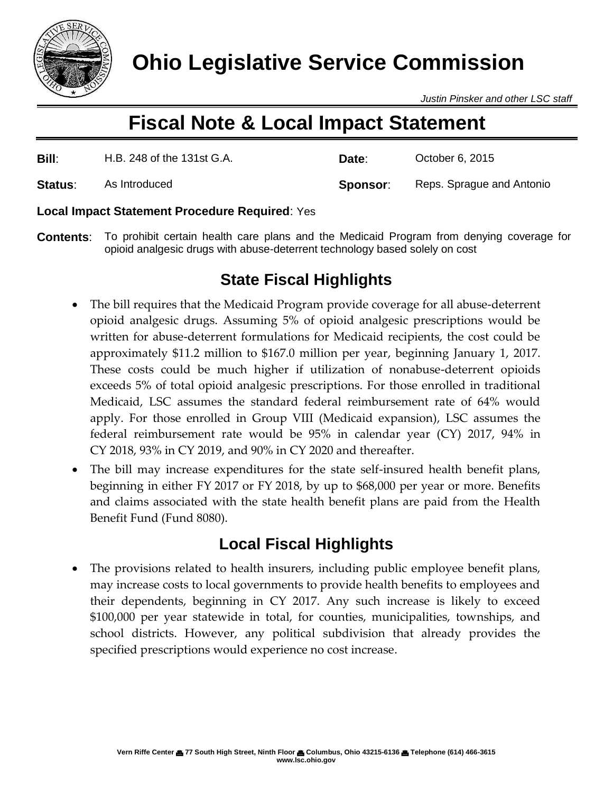

*Justin Pinsker and other LSC staff*

# **Fiscal Note & Local Impact Statement**

| Bill:   | H.B. 248 of the 131st G.A. | Date:    | October 6, 2015           |
|---------|----------------------------|----------|---------------------------|
| Status: | As Introduced              | Sponsor: | Reps. Sprague and Antonio |

### **Local Impact Statement Procedure Required**: Yes

**Contents**: To prohibit certain health care plans and the Medicaid Program from denying coverage for opioid analgesic drugs with abuse-deterrent technology based solely on cost

# **State Fiscal Highlights**

- The bill requires that the Medicaid Program provide coverage for all abuse-deterrent opioid analgesic drugs. Assuming 5% of opioid analgesic prescriptions would be written for abuse-deterrent formulations for Medicaid recipients, the cost could be approximately \$11.2 million to \$167.0 million per year, beginning January 1, 2017. These costs could be much higher if utilization of nonabuse-deterrent opioids exceeds 5% of total opioid analgesic prescriptions. For those enrolled in traditional Medicaid, LSC assumes the standard federal reimbursement rate of 64% would apply. For those enrolled in Group VIII (Medicaid expansion), LSC assumes the federal reimbursement rate would be 95% in calendar year (CY) 2017, 94% in CY 2018, 93% in CY 2019, and 90% in CY 2020 and thereafter.
- The bill may increase expenditures for the state self-insured health benefit plans, beginning in either FY 2017 or FY 2018, by up to \$68,000 per year or more. Benefits and claims associated with the state health benefit plans are paid from the Health Benefit Fund (Fund 8080).

# **Local Fiscal Highlights**

 The provisions related to health insurers, including public employee benefit plans, may increase costs to local governments to provide health benefits to employees and their dependents, beginning in CY 2017. Any such increase is likely to exceed \$100,000 per year statewide in total, for counties, municipalities, townships, and school districts. However, any political subdivision that already provides the specified prescriptions would experience no cost increase.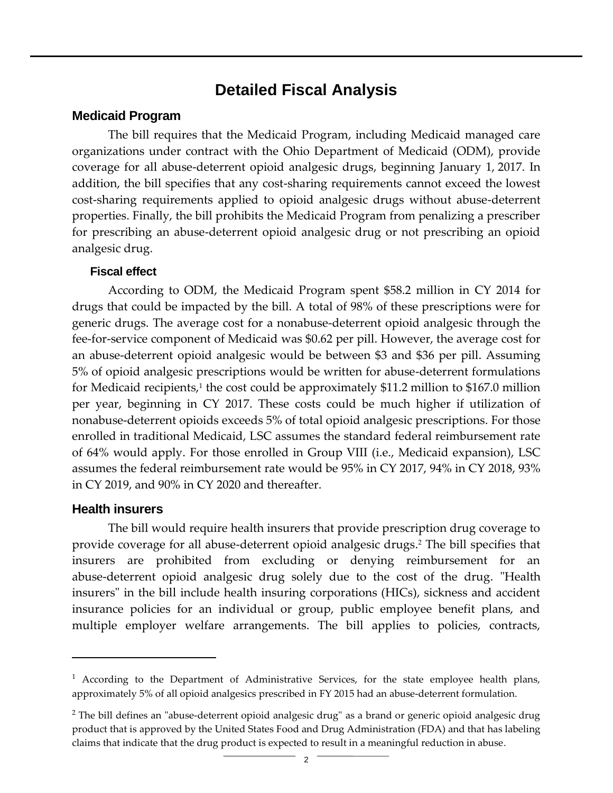### **Detailed Fiscal Analysis**

### **Medicaid Program**

The bill requires that the Medicaid Program, including Medicaid managed care organizations under contract with the Ohio Department of Medicaid (ODM), provide coverage for all abuse-deterrent opioid analgesic drugs, beginning January 1, 2017. In addition, the bill specifies that any cost-sharing requirements cannot exceed the lowest cost-sharing requirements applied to opioid analgesic drugs without abuse-deterrent properties. Finally, the bill prohibits the Medicaid Program from penalizing a prescriber for prescribing an abuse-deterrent opioid analgesic drug or not prescribing an opioid analgesic drug.

### **Fiscal effect**

According to ODM, the Medicaid Program spent \$58.2 million in CY 2014 for drugs that could be impacted by the bill. A total of 98% of these prescriptions were for generic drugs. The average cost for a nonabuse-deterrent opioid analgesic through the fee-for-service component of Medicaid was \$0.62 per pill. However, the average cost for an abuse-deterrent opioid analgesic would be between \$3 and \$36 per pill. Assuming 5% of opioid analgesic prescriptions would be written for abuse-deterrent formulations for Medicaid recipients,1 the cost could be approximately \$11.2 million to \$167.0 million per year, beginning in CY 2017. These costs could be much higher if utilization of nonabuse-deterrent opioids exceeds 5% of total opioid analgesic prescriptions. For those enrolled in traditional Medicaid, LSC assumes the standard federal reimbursement rate of 64% would apply. For those enrolled in Group VIII (i.e., Medicaid expansion), LSC assumes the federal reimbursement rate would be 95% in CY 2017, 94% in CY 2018, 93% in CY 2019, and 90% in CY 2020 and thereafter.

### **Health insurers**

 $\overline{a}$ 

The bill would require health insurers that provide prescription drug coverage to provide coverage for all abuse-deterrent opioid analgesic drugs. <sup>2</sup> The bill specifies that insurers are prohibited from excluding or denying reimbursement for an abuse-deterrent opioid analgesic drug solely due to the cost of the drug. "Health insurers" in the bill include health insuring corporations (HICs), sickness and accident insurance policies for an individual or group, public employee benefit plans, and multiple employer welfare arrangements. The bill applies to policies, contracts,

 $<sup>1</sup>$  According to the Department of Administrative Services, for the state employee health plans,</sup> approximately 5% of all opioid analgesics prescribed in FY 2015 had an abuse-deterrent formulation.

<sup>&</sup>lt;sup>2</sup> The bill defines an "abuse-deterrent opioid analgesic drug" as a brand or generic opioid analgesic drug product that is approved by the United States Food and Drug Administration (FDA) and that has labeling claims that indicate that the drug product is expected to result in a meaningful reduction in abuse.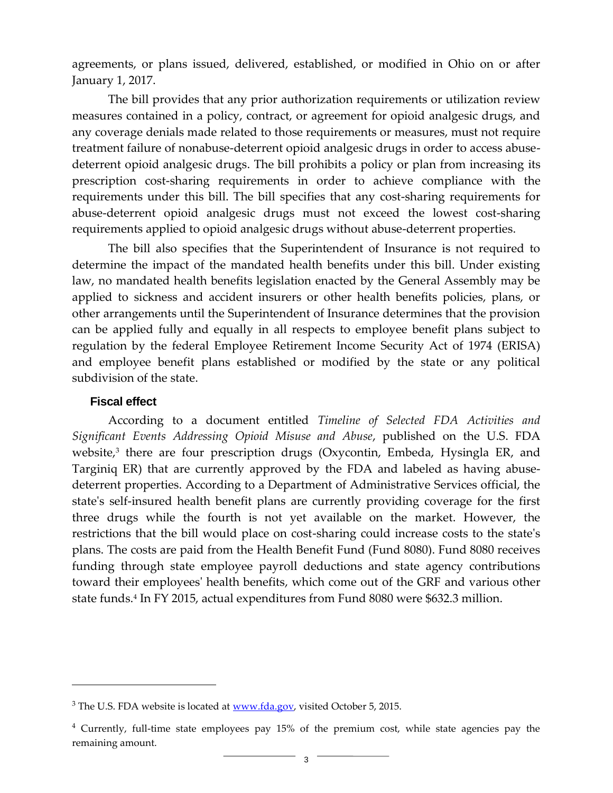agreements, or plans issued, delivered, established, or modified in Ohio on or after January 1, 2017.

The bill provides that any prior authorization requirements or utilization review measures contained in a policy, contract, or agreement for opioid analgesic drugs, and any coverage denials made related to those requirements or measures, must not require treatment failure of nonabuse-deterrent opioid analgesic drugs in order to access abusedeterrent opioid analgesic drugs. The bill prohibits a policy or plan from increasing its prescription cost-sharing requirements in order to achieve compliance with the requirements under this bill. The bill specifies that any cost-sharing requirements for abuse-deterrent opioid analgesic drugs must not exceed the lowest cost-sharing requirements applied to opioid analgesic drugs without abuse-deterrent properties.

The bill also specifies that the Superintendent of Insurance is not required to determine the impact of the mandated health benefits under this bill. Under existing law, no mandated health benefits legislation enacted by the General Assembly may be applied to sickness and accident insurers or other health benefits policies, plans, or other arrangements until the Superintendent of Insurance determines that the provision can be applied fully and equally in all respects to employee benefit plans subject to regulation by the federal Employee Retirement Income Security Act of 1974 (ERISA) and employee benefit plans established or modified by the state or any political subdivision of the state.

### **Fiscal effect**

 $\overline{a}$ 

According to a document entitled *Timeline of Selected FDA Activities and Significant Events Addressing Opioid Misuse and Abuse*, published on the U.S. FDA website, 3 there are four prescription drugs (Oxycontin, Embeda, Hysingla ER, and Targiniq ER) that are currently approved by the FDA and labeled as having abusedeterrent properties. According to a Department of Administrative Services official, the state's self-insured health benefit plans are currently providing coverage for the first three drugs while the fourth is not yet available on the market. However, the restrictions that the bill would place on cost-sharing could increase costs to the state's plans. The costs are paid from the Health Benefit Fund (Fund 8080). Fund 8080 receives funding through state employee payroll deductions and state agency contributions toward their employees' health benefits, which come out of the GRF and various other state funds. 4 In FY 2015, actual expenditures from Fund 8080 were \$632.3 million.

<sup>&</sup>lt;sup>3</sup> The U.S. FDA website is located at [www.fda.gov,](www.fda.gov) visited October 5, 2015.

<sup>4</sup> Currently, full-time state employees pay 15% of the premium cost, while state agencies pay the remaining amount.